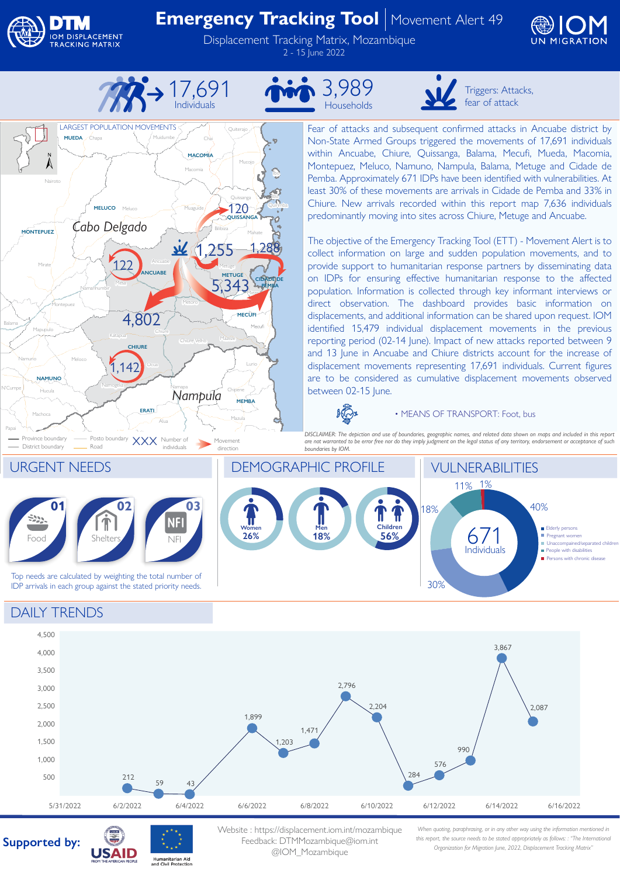

Nairoto

Mirate

**MONTEPUEZ**

Mapupulo

Montepuez

District boundary

Machoca

Papai

N'Cumpe

Balama

**Hucula** 

**NAMUNO**

**LARGEST POPULATION MOVEMENTS** 

**MUEDA**

Chapa

**MELUCO**

*Cabo Delgado*

### **Emergency Tracking Tool** | Movement Alert 49

Displacement Tracking Matrix, Mozambique 2 - 15 June 2022





Muidumbe

Chai

Macomia

**MACOMIA**

Muaguide

Alua

**ERATI**

Ancuabe

**ANCUABE**

Chiure

Namapa

Metoro

 $\mathcal{U}$ 

Chiure Velho

*Nampula*

Mazula

**MEMBA**

Chipene

Metuge

**METUGE**

5,343

Mazeze

Bilibiza Mahate

Mieze

**MECUFI**

**CIDADE DE PEMBA**

Quissanga

120

**QUISSANGA**

1,255 1,288

Mucojo

Ibo

Quirimba

Quiterajo

Meluco

Mesa

122

Namanhumbir

Katapua

Meloco  $1,142$ 

Namogelia

Namuno Meloco (1111) Ocua

**CHIURE**

4,802







Triggers: Attacks, fear of attack

Fear of attacks and subsequent confirmed attacks in Ancuabe district by Non-State Armed Groups triggered the movements of 17,691 individuals within Ancuabe, Chiure, Quissanga, Balama, Mecufi, Mueda, Macomia, Montepuez, Meluco, Namuno, Nampula, Balama, Metuge and Cidade de Pemba. Approximately 671 IDPs have been identified with vulnerabilities. At least 30% of these movements are arrivals in Cidade de Pemba and 33% in Chiure. New arrivals recorded within this report map 7,636 individuals predominantly moving into sites across Chiure, Metuge and Ancuabe.

The objective of the Emergency Tracking Tool (ETT) - Movement Alert is to collect information on large and sudden population movements, and to provide support to humanitarian response partners by disseminating data on IDPs for ensuring effective humanitarian response to the affected population. Information is collected through key informant interviews or direct observation. The dashboard provides basic information on displacements, and additional information can be shared upon request. IOM identified 15,479 individual displacement movements in the previous reporting period (02-14 June). Impact of new attacks reported between 9 and 13 June in Ancuabe and Chiure districts account for the increase of displacement movements representing 17,691 individuals. Current figures are to be considered as cumulative displacement movements observed between 02-15 June.

**KO** 

#### • MEANS OF TRANSPORT: Foot, bus

*DISCLAIMER: The depiction and use of boundaries, geographic names, and related data shown on maps and included in this report are not warranted to be error free nor do they imply judgment on the legal status of any territory, endorsement or acceptance of such boundaries by IOM.* 



### DAILY TRENDS



## **Supported by:**



Website : https://displacement.iom.int/mozambique Feedback: DTMMozambique@iom.int @IOM\_Mozambique

*When quoting, paraphrasing, or in any other way using the information mentioned in this report, the source needs to be stated appropriately as follows: : "The International Organization for Migration June, 2022, Displacement Tracking Matrix"*